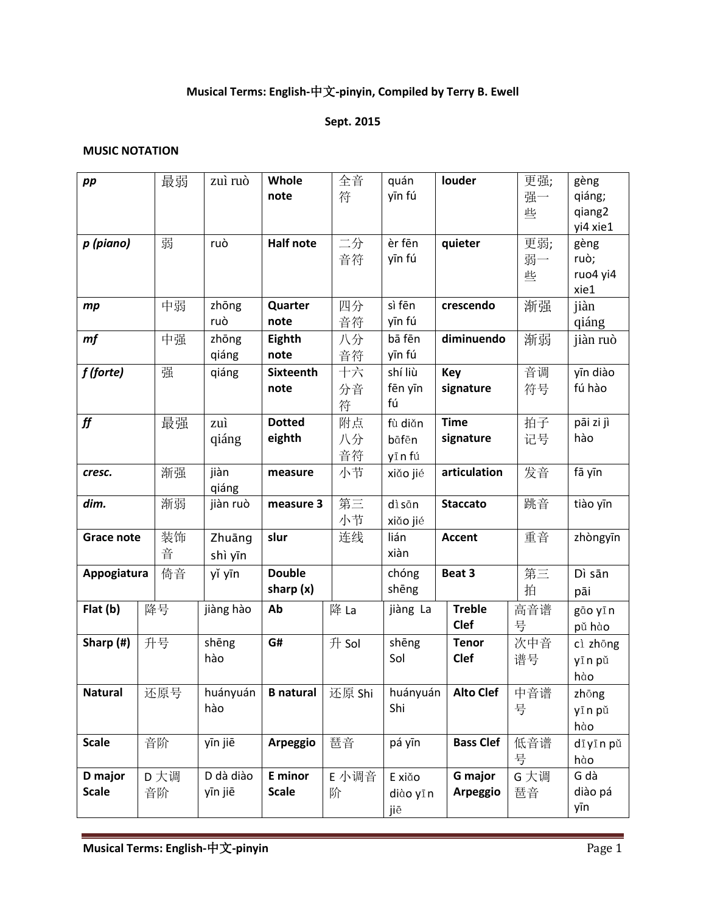## **Musical Terms: English-**中文**-pinyin, Compiled by Terry B. Ewell**

#### **Sept. 2015**

#### **MUSIC NOTATION**

| pp                | 最弱   | zuì ruò   | Whole                     | 全音    | quán      | louder           | 更强;  | gèng      |
|-------------------|------|-----------|---------------------------|-------|-----------|------------------|------|-----------|
|                   |      |           | note                      | 符     | yīn fú    |                  | 强一   | qiáng;    |
|                   |      |           |                           |       |           |                  | 些    | qiang2    |
|                   |      |           |                           |       |           |                  |      | yi4 xie1  |
| p (piano)         | 弱    | ruò       | <b>Half note</b>          | 二分    | èr fēn    | quieter          | 更弱;  | gèng      |
|                   |      |           |                           | 音符    | yīn fú    |                  | 弱一   | ruò;      |
|                   |      |           |                           |       |           |                  | 些    | ruo4 yi4  |
|                   |      |           |                           |       |           |                  |      | xie1      |
| mp                | 中弱   | zhōng     | Quarter                   | 四分    | sì fēn    | crescendo        | 渐强   | jiàn      |
|                   |      | ruò       | note                      | 音符    | yīn fú    |                  |      | qiáng     |
| mf                | 中强   | zhōng     | Eighth                    | 八分    | bā fēn    | diminuendo       | 渐弱   | jiàn ruò  |
|                   |      | qiáng     | note                      | 音符    | yīn fú    |                  |      |           |
| f (forte)         | 强    | qiáng     | <b>Sixteenth</b>          | 十六    | shí liù   | <b>Key</b>       | 音调   | yīn diào  |
|                   |      |           | note                      | 分音    | fēn yīn   | signature        | 符号   | fú hào    |
|                   |      |           |                           | 符     | fú        |                  |      |           |
| ff                | 最强   | zuì       | <b>Dotted</b>             | 附点    | fù diǎn   | <b>Time</b>      | 拍子   | pāi zi jì |
|                   |      | qiáng     | eighth                    | 八分    | bāfēn     | signature        | 记号   | hào       |
|                   |      |           |                           | 音符    | yīn fú    |                  |      |           |
| cresc.            | 渐强   | jiàn      | measure                   | 小节    | xiǎo jié  | articulation     | 发音   | fā yīn    |
|                   |      | qiáng     |                           |       |           |                  |      |           |
| dim.              | 渐弱   | jiàn ruò  | measure 3                 | 第三    | dìsān     | <b>Staccato</b>  | 跳音   | tiào yīn  |
|                   |      |           |                           | 小节    | xiǎo jié  |                  |      |           |
| <b>Grace note</b> | 装饰   | Zhuāng    | slur                      | 连线    | lián      | <b>Accent</b>    | 重音   | zhòngyīn  |
|                   | 音    | shì yīn   |                           |       | xiàn      |                  |      |           |
| Appogiatura       | 倚音   | yǐ yīn    | <b>Double</b>             |       | chóng     | Beat 3           | 第三   | Dì sān    |
|                   |      |           | sharp $(x)$               |       | shēng     |                  | 拍    | pāi       |
| Flat (b)          | 降号   | jiàng hào | Ab                        | 降 La  | jiàng La  | <b>Treble</b>    | 高音谱  | gão yīn   |
|                   |      |           |                           |       |           | <b>Clef</b>      | 号    | pǔ hào    |
| Sharp (#)         | 升号   | shēng     | G#                        | 升 Sol | shēng     | <b>Tenor</b>     | 次中音  | cì zhōng  |
|                   |      | hào       |                           |       | Sol       | Clef             | 谱号   | yīn pǔ    |
|                   |      |           |                           |       |           |                  |      | hào       |
| <b>Natural</b>    | 还原号  | huányuán  | <b>B natural</b>   还原 Shi |       | huányuán  | Alto Clef 中音谱    |      | zhōng     |
|                   |      | hào       |                           |       | Shi       |                  | 号    | yīn pǔ    |
|                   |      |           |                           |       |           |                  |      | hào       |
| <b>Scale</b>      | 音阶   | yīn jiē   | Arpeggio                  | 琶音    | pá yīn    | <b>Bass Clef</b> | 低音谱  | dīyīn pǔ  |
|                   |      |           |                           |       |           |                  | 号    | hào       |
| D major           | D 大调 | D dà diào | E minor                   | E 小调音 | E xiǎo    | G major          | G 大调 | G dà      |
| <b>Scale</b>      | 音阶   | yīn jiē   | <b>Scale</b>              | 阶     | diào yī n | Arpeggio         | 琶音   | diào pá   |
|                   |      |           |                           |       | jiē       |                  |      | yīn       |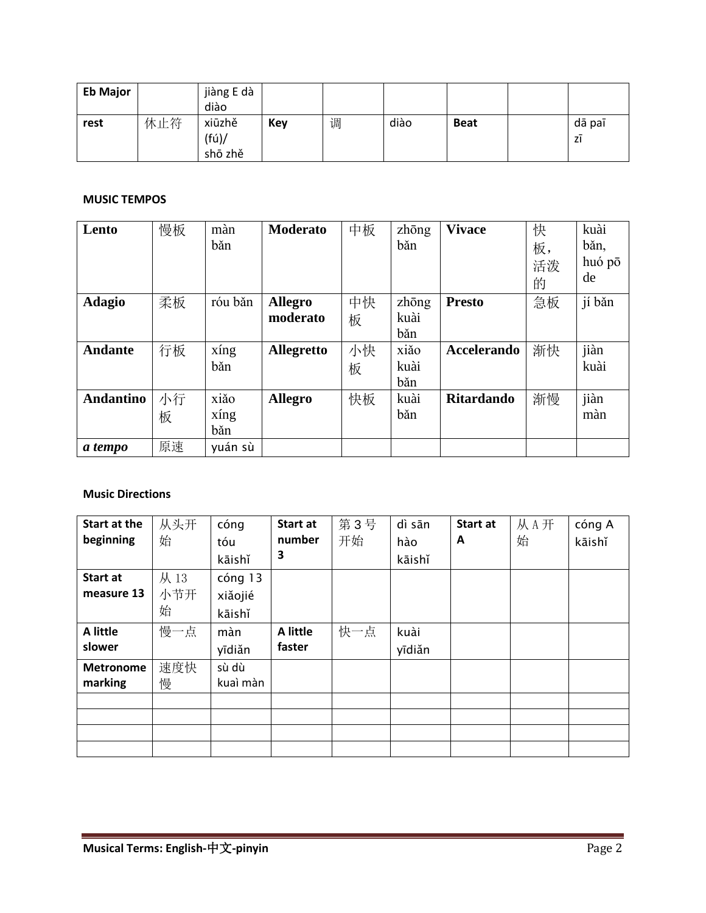| <b>Eb Major</b> |     | jiàng E dà                |     |   |      |             |              |
|-----------------|-----|---------------------------|-----|---|------|-------------|--------------|
|                 |     | diào                      |     |   |      |             |              |
| rest            | 休止符 | xiūzhě<br>(fú)<br>shō zhě | Key | 调 | diào | <b>Beat</b> | dā paī<br>ZI |

#### **MUSIC TEMPOS**

| Lento                           | 慢板       | màn<br>băn          | <b>Moderato</b>                                 | 中板            | zhōng<br>băn                 | <b>Vivace</b>                | 快<br>板,<br>活泼<br>的 | kuài<br>băn,<br>huó pō<br>de |
|---------------------------------|----------|---------------------|-------------------------------------------------|---------------|------------------------------|------------------------------|--------------------|------------------------------|
| <b>Adagio</b><br><b>Andante</b> | 柔板<br>行板 | róu băn<br>xíng     | <b>Allegro</b><br>moderato<br><b>Allegretto</b> | 中快<br>板<br>小快 | zhōng<br>kuài<br>băn<br>xiǎo | <b>Presto</b><br>Accelerando | 急板<br>渐快           | jí bǎn<br>jiàn               |
|                                 |          | băn                 |                                                 | 板             | kuài<br>băn                  |                              |                    | kuài                         |
| <b>Andantino</b>                | 小行<br>板  | xiǎo<br>xíng<br>băn | <b>Allegro</b>                                  | 快板            | kuài<br>băn                  | <b>Ritardando</b>            | 渐慢                 | jiàn<br>màn                  |
| a tempo                         | 原速       | yuán sù             |                                                 |               |                              |                              |                    |                              |

#### **Music Directions**

| Start at the<br>beginning   | 从头开<br>始        | cóng<br>tóu<br>kāishǐ        | Start at<br>number<br>3 | 第3号<br>开始 | dì sān<br>hào<br>kāishǐ | Start at<br>A | 从A开<br>始 | cóng A<br>kāishǐ |
|-----------------------------|-----------------|------------------------------|-------------------------|-----------|-------------------------|---------------|----------|------------------|
| Start at<br>measure 13      | 从13<br>小节开<br>始 | cóng 13<br>xiǎojié<br>kāishǐ |                         |           |                         |               |          |                  |
| A little<br>slower          | 慢一点             | màn<br>yīdiǎn                | A little<br>faster      | 快一点       | kuài<br>yīdiǎn          |               |          |                  |
| <b>Metronome</b><br>marking | 速度快<br>慢        | sù dù<br>kuaì màn            |                         |           |                         |               |          |                  |
|                             |                 |                              |                         |           |                         |               |          |                  |
|                             |                 |                              |                         |           |                         |               |          |                  |
|                             |                 |                              |                         |           |                         |               |          |                  |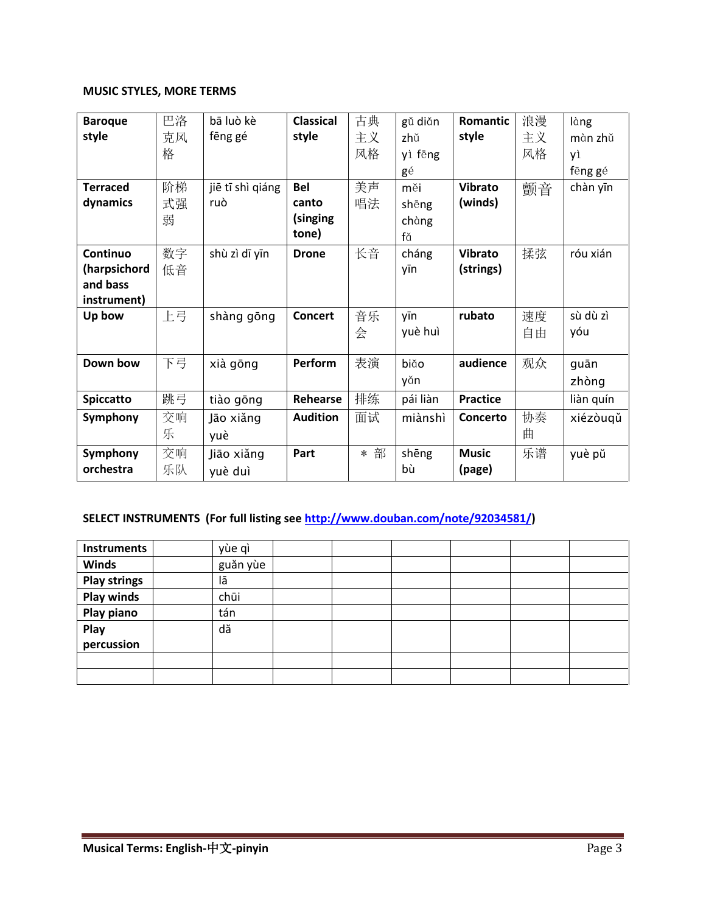### **MUSIC STYLES, MORE TERMS**

| <b>Baroque</b>   | 巴洛 | bā luò kè        | <b>Classical</b> | 古典  | gǔ diǎn  | <b>Romantic</b> | 浪漫 | làng      |
|------------------|----|------------------|------------------|-----|----------|-----------------|----|-----------|
| style            | 克风 | fēng gé          | style            | 主义  | zhǔ      | style           | 主义 | màn zhǔ   |
|                  | 格  |                  |                  | 风格  | yì fēng  |                 | 风格 | yì        |
|                  |    |                  |                  |     | gé       |                 |    | fēng gé   |
| <b>Terraced</b>  | 阶梯 | jiē tī shì qiáng | <b>Bel</b>       | 美声  | měi      | <b>Vibrato</b>  | 颤音 | chàn yīn  |
| dynamics         | 式强 | ruò              | canto            | 唱法  | shēng    | (winds)         |    |           |
|                  | 弱  |                  | (singing         |     | chàng    |                 |    |           |
|                  |    |                  | tone)            |     | fă       |                 |    |           |
| Continuo         | 数字 | shù zì dī yīn    | <b>Drone</b>     | 长音  | cháng    | <b>Vibrato</b>  | 揉弦 | róu xián  |
| (harpsichord     | 低音 |                  |                  |     | yīn      | (strings)       |    |           |
| and bass         |    |                  |                  |     |          |                 |    |           |
| instrument)      |    |                  |                  |     |          |                 |    |           |
| Up bow           | 上弓 | shàng gōng       | <b>Concert</b>   | 音乐  | yīn      | rubato          | 速度 | sù dù zì  |
|                  |    |                  |                  | 会   | yuè huì  |                 | 自由 | yóu       |
| Down bow         | 下弓 |                  | Perform          | 表演  |          | audience        |    |           |
|                  |    | xià gōng         |                  |     | biăo     |                 | 观众 | guān      |
|                  |    |                  |                  |     | yǎn      |                 |    | zhòng     |
| <b>Spiccatto</b> | 跳弓 | tiào gōng        | Rehearse         | 排练  | pái liàn | <b>Practice</b> |    | liàn quín |
| Symphony         | 交响 | Jão xiǎng        | <b>Audition</b>  | 面试  | miànshì  | Concerto        | 协奏 | xiézòuqǔ  |
|                  | 乐  | yuè              |                  |     |          |                 | 曲  |           |
| Symphony         | 交响 | Jião xiǎng       | Part             | * 部 | shēng    | <b>Music</b>    | 乐谱 | yuè pŭ    |
| orchestra        | 乐队 | yuè duì          |                  |     | bù       | (page)          |    |           |

## **SELECT INSTRUMENTS (For full listing see [http://www.douban.com/note/92034581/\)](http://www.douban.com/note/92034581/)**

| <b>Instruments</b>  | yùe qì   |  |  |  |
|---------------------|----------|--|--|--|
| <b>Winds</b>        | guăn yùe |  |  |  |
| <b>Play strings</b> | lā       |  |  |  |
| <b>Play winds</b>   | chūi     |  |  |  |
| Play piano          | tán      |  |  |  |
| Play                | dă       |  |  |  |
| percussion          |          |  |  |  |
|                     |          |  |  |  |
|                     |          |  |  |  |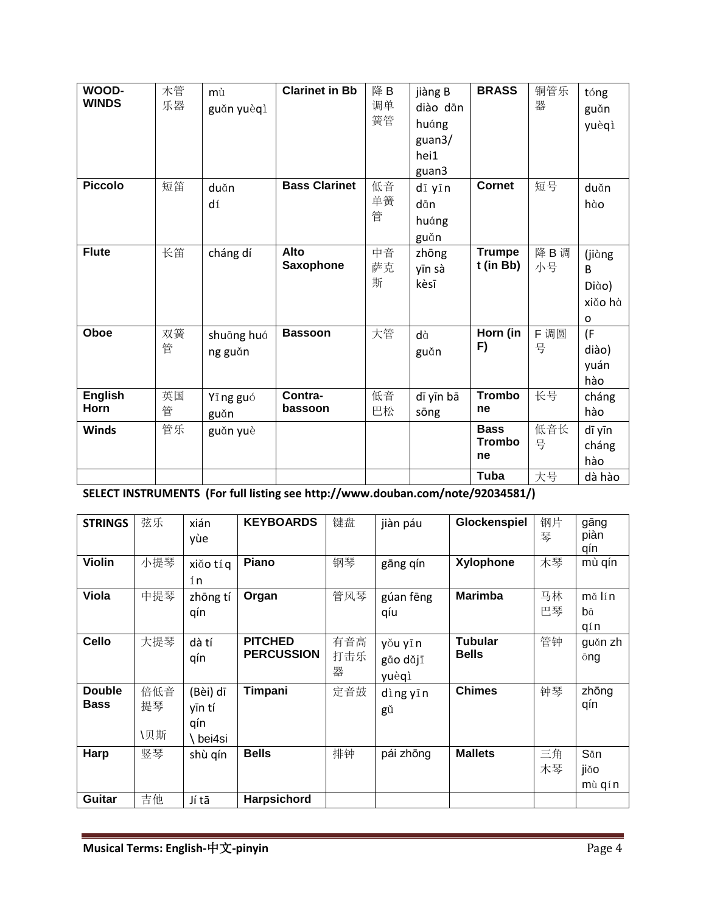| WOOD-          | 木管 | mù         | <b>Clarinet in Bb</b> | 降 B | jiàng B   | <b>BRASS</b>  | 铜管乐  | tóng    |
|----------------|----|------------|-----------------------|-----|-----------|---------------|------|---------|
| <b>WINDS</b>   | 乐器 | guăn yuèqì |                       | 调单  | diào dān  |               | 器    | guǎn    |
|                |    |            |                       | 簧管  | huáng     |               |      | yuèqì   |
|                |    |            |                       |     | guan3/    |               |      |         |
|                |    |            |                       |     | hei1      |               |      |         |
|                |    |            |                       |     | guan3     |               |      |         |
| <b>Piccolo</b> | 短笛 | duǎn       | <b>Bass Clarinet</b>  | 低音  | dī yīn    | <b>Cornet</b> | 短号   | duǎn    |
|                |    | dí         |                       | 单簧  | dān       |               |      | hào     |
|                |    |            |                       | 管   | huáng     |               |      |         |
|                |    |            |                       |     | guǎn      |               |      |         |
| <b>Flute</b>   | 长笛 | cháng dí   | Alto                  | 中音  | zhōng     | <b>Trumpe</b> | 降B调  |         |
|                |    |            | <b>Saxophone</b>      | 萨克  |           | t (in Bb)     | 小号   | (jiàng  |
|                |    |            |                       | 斯   | yīn sà    |               |      | B       |
|                |    |            |                       |     | kèsī      |               |      | Diào)   |
|                |    |            |                       |     |           |               |      | xiǎo hà |
|                |    |            |                       |     |           |               |      | O       |
| Oboe           | 双簧 | shuāng huá | <b>Bassoon</b>        | 大管  | dà        | Horn (in      | F 调圆 | (F)     |
|                | 管  | ng guǎn    |                       |     | guǎn      | F)            | 号    | diào)   |
|                |    |            |                       |     |           |               |      | yuán    |
|                |    |            |                       |     |           |               |      | hào     |
| <b>English</b> | 英国 | Yī ng guó  | Contra-               | 低音  | dī yīn bā | <b>Trombo</b> | 长号   | cháng   |
| Horn           | 管  | guǎn       | bassoon               | 巴松  | sōng      | ne            |      | hào     |
| <b>Winds</b>   | 管乐 | guăn yuè   |                       |     |           | <b>Bass</b>   | 低音长  | dī yīn  |
|                |    |            |                       |     |           | <b>Trombo</b> | 号    | cháng   |
|                |    |            |                       |     |           | ne            |      | hào     |
|                |    |            |                       |     |           | Tuba          | 大号   | dà hào  |
|                |    |            |                       |     |           |               |      |         |

**SELECT INSTRUMENTS (For full listing see http://www.douban.com/note/92034581/)**

| <b>STRINGS</b>               | 弦乐               | xián<br>yùe                          | <b>KEYBOARDS</b>                    | 键盘              | jiàn páu                     | Glockenspiel                   | 钢片<br>琴  | gāng<br>piàn<br>qín   |
|------------------------------|------------------|--------------------------------------|-------------------------------------|-----------------|------------------------------|--------------------------------|----------|-----------------------|
| <b>Violin</b>                | 小提琴              | xiăo tí q<br>ín                      | <b>Piano</b>                        | 钢琴              | gāng qín                     | <b>Xylophone</b>               | 木琴       | mù qín                |
| <b>Viola</b>                 | 中提琴              | zhōng tí<br>qín                      | Organ                               | 管风琴             | gúan fēng<br>qíu             | <b>Marimba</b>                 | 马林<br>巴琴 | mă lín<br>bā<br>qín   |
| <b>Cello</b>                 | 大提琴              | dà tí<br>qín                         | <b>PITCHED</b><br><b>PERCUSSION</b> | 有音高<br>打击乐<br>器 | yǒu yīn<br>gāo dǎjī<br>yuèqì | <b>Tubular</b><br><b>Bells</b> | 管钟       | guăn zh<br>ōng        |
| <b>Double</b><br><b>Bass</b> | 倍低音<br>提琴<br>\贝斯 | (Bèi) dī<br>yīn tí<br>qín<br>bei4si) | Timpani                             | 定音鼓             | dìng yīn<br>gŭ               | <b>Chimes</b>                  | 钟琴       | zhōng<br>qín          |
| Harp                         | 竖琴               | shù qín                              | <b>Bells</b>                        | 排钟              | pái zhōng                    | <b>Mallets</b>                 | 三角<br>木琴 | Sān<br>jiǎo<br>mù qín |
| Guitar                       | 吉他               | Jí tā                                | <b>Harpsichord</b>                  |                 |                              |                                |          |                       |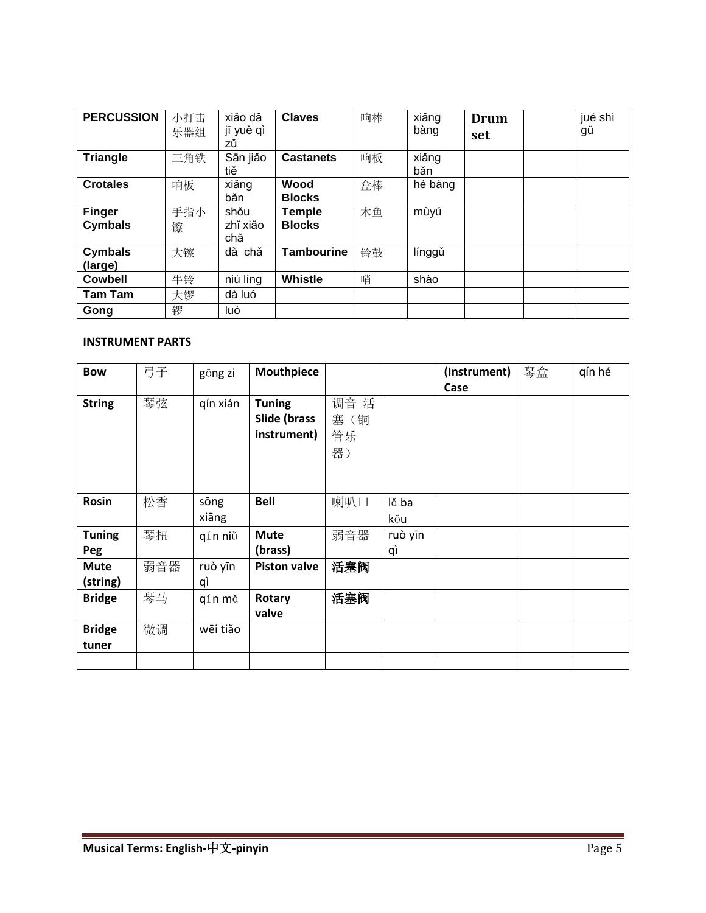| <b>PERCUSSION</b>        | 小打击      | xiǎo dǎ                 | <b>Claves</b>                  | 响棒 | xiǎng        | <b>Drum</b> | jué shì |
|--------------------------|----------|-------------------------|--------------------------------|----|--------------|-------------|---------|
|                          | 乐器组      | jī yuè qì<br>zů         |                                |    | bàng         | set         | gŭ      |
| <b>Triangle</b>          | 三角铁      | Sān jiǎo<br>tiě         | <b>Castanets</b>               | 响板 | xiǎng<br>băn |             |         |
| <b>Crotales</b>          | 响板       | xiǎng<br>bǎn            | Wood<br><b>Blocks</b>          | 盒棒 | hé bàng      |             |         |
| <b>Finger</b><br>Cymbals | 手指小<br>镲 | shǒu<br>zhǐ xiǎo<br>chă | <b>Temple</b><br><b>Blocks</b> | 木鱼 | mùyú         |             |         |
| Cymbals<br>(large)       | 大镲       | chă<br>dà               | <b>Tambourine</b>              | 铃鼓 | línggǔ       |             |         |
| <b>Cowbell</b>           | 牛铃       | niú líng                | Whistle                        | 哨  | shào         |             |         |
| <b>Tam Tam</b>           | 大锣       | dà luó                  |                                |    |              |             |         |
| Gong                     | 锣        | luó                     |                                |    |              |             |         |

## **INSTRUMENT PARTS**

| <b>Bow</b>    | 弓子  | gōng zi  | Mouthpiece          |      |         | (Instrument) | 琴盒 | qín hé |
|---------------|-----|----------|---------------------|------|---------|--------------|----|--------|
|               |     |          |                     |      |         | Case         |    |        |
| <b>String</b> | 琴弦  | qín xián | <b>Tuning</b>       | 调音 活 |         |              |    |        |
|               |     |          | Slide (brass        | 塞(铜  |         |              |    |        |
|               |     |          | instrument)         | 管乐   |         |              |    |        |
|               |     |          |                     | 器)   |         |              |    |        |
|               |     |          |                     |      |         |              |    |        |
|               |     |          |                     |      |         |              |    |        |
| Rosin         | 松香  | sōng     | <b>Bell</b>         | 喇叭口  | lă ba   |              |    |        |
|               |     | xiāng    |                     |      | kŏu     |              |    |        |
| <b>Tuning</b> | 琴扭  | qín niŭ  | <b>Mute</b>         | 弱音器  | ruò yīn |              |    |        |
| Peg           |     |          | (brass)             |      | qì      |              |    |        |
| <b>Mute</b>   | 弱音器 | ruò yīn  | <b>Piston valve</b> | 活塞阀  |         |              |    |        |
| (string)      |     | qì       |                     |      |         |              |    |        |
| <b>Bridge</b> | 琴马  | qín mǎ   | Rotary              | 活塞阀  |         |              |    |        |
|               |     |          | valve               |      |         |              |    |        |
| <b>Bridge</b> | 微调  | wēi tiăo |                     |      |         |              |    |        |
| tuner         |     |          |                     |      |         |              |    |        |
|               |     |          |                     |      |         |              |    |        |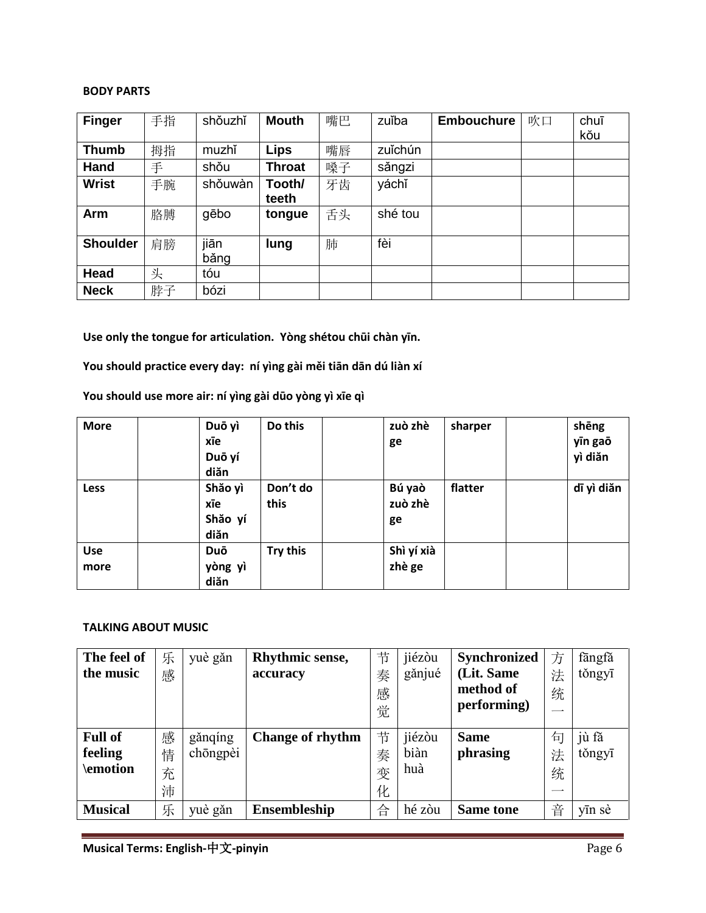#### **BODY PARTS**

| <b>Finger</b>   | 手指 | shǒuzhǐ | <b>Mouth</b>  | 嘴巴 | zuĭba   | <b>Embouchure</b> | 吹口 | chuī |
|-----------------|----|---------|---------------|----|---------|-------------------|----|------|
|                 |    |         |               |    |         |                   |    | kŏu  |
| <b>Thumb</b>    | 拇指 | muzhǐ   | <b>Lips</b>   | 嘴唇 | zuĭchún |                   |    |      |
| Hand            | 手  | shǒu    | <b>Throat</b> | 嗓子 | sǎngzi  |                   |    |      |
| <b>Wrist</b>    | 手腕 | shǒuwàn | Tooth/        | 牙齿 | yáchľ   |                   |    |      |
|                 |    |         | teeth         |    |         |                   |    |      |
| Arm             | 胳膊 | gēbo    | tongue        | 舌头 | shé tou |                   |    |      |
|                 |    |         |               |    |         |                   |    |      |
| <b>Shoulder</b> | 肩膀 | jiān    | lung          | 肺  | fèi     |                   |    |      |
|                 |    | băng    |               |    |         |                   |    |      |
| Head            | 头  | tóu     |               |    |         |                   |    |      |
| <b>Neck</b>     | 脖子 | bózi    |               |    |         |                   |    |      |

**Use only the tongue for articulation. Yòng shétou chūi chàn yīn.**

**You should practice every day: ní yìng gài měi tiān dān dú liàn xí**

**You should use more air: ní yìng gài dūo yòng yì xīe qì**

| <b>More</b>        | Duō yì<br>xīe<br>Duō yí<br>diăn   | Do this          | zuò zhè<br>ge           | sharper | shēng<br>yīn gaō<br>yì diăn |
|--------------------|-----------------------------------|------------------|-------------------------|---------|-----------------------------|
| <b>Less</b>        | Shăo yì<br>xīe<br>Shăo yí<br>diăn | Don't do<br>this | Bú yaò<br>zuò zhè<br>ge | flatter | dī yì diăn                  |
| <b>Use</b><br>more | Duō<br>yòng yì<br>diăn            | Try this         | Shì yí xià<br>zhè ge    |         |                             |

#### **TALKING ABOUT MUSIC**

| The feel of    | 乐 | yuè gǎn  | Rhythmic sense,         | 节 | jiézòu | <b>Synchronized</b> | 方        | fängfǎ |
|----------------|---|----------|-------------------------|---|--------|---------------------|----------|--------|
| the music      | 感 |          | accuracy                | 奏 | gănjué | (Lit. Same          | 法        | těngyī |
|                |   |          |                         | 感 |        | method of           | 统        |        |
|                |   |          |                         | 觉 |        | performing)         |          |        |
|                |   |          |                         |   |        |                     |          |        |
| <b>Full of</b> | 感 | gǎnqíng  | <b>Change of rhythm</b> | 节 | jiézòu | <b>Same</b>         | 石        | jù fă  |
| feeling        | 情 | chōngpèi |                         | 奏 | biàn   | phrasing            | 法        | těngyī |
| \emotion       | 充 |          |                         | 变 | huà    |                     | 统        |        |
|                | 沛 |          |                         | 化 |        |                     | $-\cdot$ |        |
| <b>Musical</b> | 乐 | yuè gǎn  | <b>Ensembleship</b>     | 合 | hé zòu | <b>Same tone</b>    | 音        | yīn sè |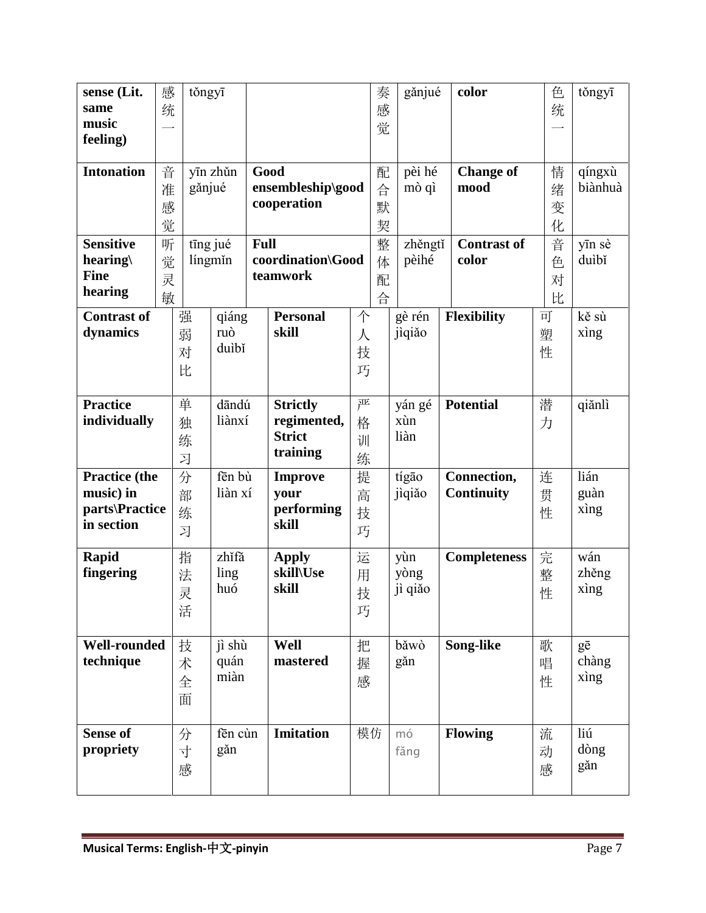| sense (Lit.<br>same         | 感                        | těngyī |          |             |                     |    | 奏 | gănjué  | color               | 色 | těngyī  |
|-----------------------------|--------------------------|--------|----------|-------------|---------------------|----|---|---------|---------------------|---|---------|
| music                       | 统                        |        |          |             |                     |    | 感 |         |                     | 统 |         |
| feeling)                    | $\overline{\phantom{0}}$ |        |          |             |                     |    | 觉 |         |                     |   |         |
|                             |                          |        |          |             |                     |    |   |         |                     |   |         |
| <b>Intonation</b>           | 音                        |        | yīn zhǔn |             | Good                |    | 配 | pèi hé  | <b>Change of</b>    | 情 | qíngxù  |
|                             | 准                        | gănjué |          |             | ensembleship\good   |    | 合 | mò qì   | mood                | 绪 | biànhuà |
|                             | 感                        |        |          |             | cooperation         |    | 默 |         |                     | 变 |         |
|                             | 觉                        |        |          |             |                     |    | 契 |         |                     | 化 |         |
| <b>Sensitive</b>            | 听                        |        | tīng jué | <b>Full</b> |                     |    | 整 | zhěngtí | <b>Contrast of</b>  | 音 | yīn sè  |
| hearing\                    | 觉                        |        | língmin  |             | coordination\Good   |    | 体 | pèihé   | color               | 色 | duìbǐ   |
| <b>Fine</b>                 | 灵                        |        |          |             | teamwork            |    | 配 |         |                     | 对 |         |
| hearing                     | 敏                        |        |          |             |                     |    | 合 |         |                     | 比 |         |
| <b>Contrast of</b>          |                          | 强      | qiáng    |             | <b>Personal</b>     | 个  |   | gè rén  | <b>Flexibility</b>  | 可 | kě sù   |
| dynamics                    |                          | 弱      | ruò      |             | skill               | 人  |   | jiqiăo  |                     | 塑 | xìng    |
|                             |                          |        | duìbǐ    |             |                     |    |   |         |                     |   |         |
|                             |                          | 对      |          |             |                     | 技  |   |         |                     | 性 |         |
|                             |                          | 比      |          |             |                     | 巧  |   |         |                     |   |         |
| <b>Practice</b>             |                          | 单      | dāndú    |             | <b>Strictly</b>     | 严  |   | yán gé  | <b>Potential</b>    | 潜 | qiănlì  |
| individually                |                          |        | liànxí   |             | regimented,         |    |   | xùn     |                     |   |         |
|                             |                          | 独      |          |             | <b>Strict</b>       | 格  |   | liàn    |                     | 力 |         |
|                             |                          | 练      |          |             | training            | 训  |   |         |                     |   |         |
|                             |                          | 习      |          |             |                     | 练  |   |         |                     |   |         |
| <b>Practice</b> (the        |                          | 分      | fēn bù   |             | <b>Improve</b>      | 提  |   | tígão   | Connection,         | 连 | lián    |
| music) in<br>parts\Practice |                          | 部      | liàn xí  |             | your                | 高  |   | jiqiăo  | <b>Continuity</b>   | 贯 | guàn    |
| in section                  |                          | 练      |          |             | performing<br>skill | 技  |   |         |                     | 性 | xìng    |
|                             |                          | 习      |          |             |                     | 巧  |   |         |                     |   |         |
| Rapid                       |                          | 指      | zhǐfǎ    |             | <b>Apply</b>        | 运  |   | yùn     | <b>Completeness</b> | 完 | wán     |
| fingering                   |                          | 法      | ling     |             | skill\Use           | 用  |   | yòng    |                     | 整 | zhěng   |
|                             |                          | 灵      | huó      |             | skill               | 技  |   | jì qiǎo |                     | 性 | xing    |
|                             |                          | 活      |          |             |                     | 巧  |   |         |                     |   |         |
|                             |                          |        |          |             |                     |    |   |         |                     |   |         |
| <b>Well-rounded</b>         |                          | 技      | jì shù   |             | Well                | 把  |   | băwò    | Song-like           | 歌 | gē      |
| technique                   |                          | 术      | quán     |             | mastered            | 握  |   | găn     |                     | 唱 | chàng   |
|                             |                          | 全      | miàn     |             |                     | 感  |   |         |                     | 性 | xìng    |
|                             |                          | 面      |          |             |                     |    |   |         |                     |   |         |
|                             |                          |        |          |             |                     |    |   |         |                     |   |         |
| <b>Sense of</b>             |                          | 分      | fēn cùn  |             | <b>Imitation</b>    | 模仿 |   | mó      | <b>Flowing</b>      | 流 | liú     |
| propriety                   |                          | 寸      | găn      |             |                     |    |   | fǎng    |                     | 动 | dòng    |
|                             |                          | 感      |          |             |                     |    |   |         |                     | 感 | găn     |
|                             |                          |        |          |             |                     |    |   |         |                     |   |         |
|                             |                          |        |          |             |                     |    |   |         |                     |   |         |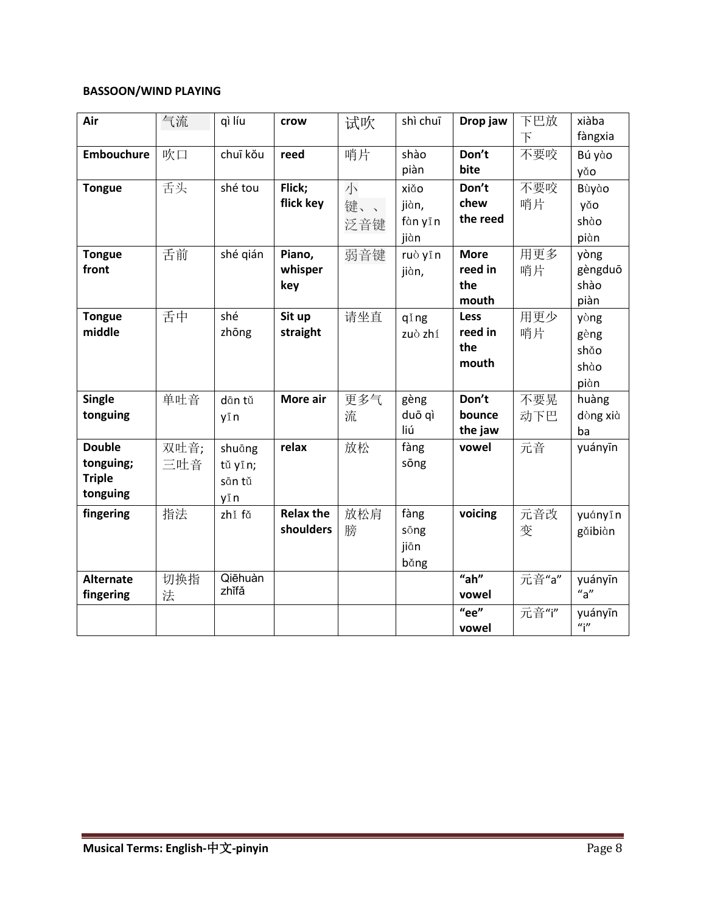## **BASSOON/WIND PLAYING**

| Air               | 气流   | qì líu           | crow             | 试吹  | shì chuī | Drop jaw    | 下巴放            | xiàba                     |
|-------------------|------|------------------|------------------|-----|----------|-------------|----------------|---------------------------|
|                   |      |                  |                  |     |          |             | $\overline{F}$ | fàngxia                   |
| <b>Embouchure</b> | 吹口   | chuī kou         | reed             | 哨片  | shào     | Don't       | 不要咬            | Bú yào                    |
|                   |      |                  |                  |     | piàn     | bite        |                | yǎo                       |
| <b>Tongue</b>     | 舌头   | shé tou          | Flick;           | 小   | xiǎo     | Don't       | 不要咬            | Bùyào                     |
|                   |      |                  | flick key        | 键、、 | jiàn,    | chew        | 哨片             | yǎo                       |
|                   |      |                  |                  | 泛音键 | fàn yīn  | the reed    |                | shào                      |
|                   |      |                  |                  |     | jiàn     |             |                | piàn                      |
| <b>Tongue</b>     | 舌前   | shé gián         | Piano,           | 弱音键 | ruò yīn  | <b>More</b> | 用更多            | yòng                      |
| front             |      |                  | whisper          |     | jiàn,    | reed in     | 哨片             | gèngduō                   |
|                   |      |                  | key              |     |          | the         |                | shào                      |
|                   |      |                  |                  |     |          | mouth       |                | piàn                      |
| <b>Tongue</b>     | 舌中   | shé              | Sit up           | 请坐直 | qing     | <b>Less</b> | 用更少            | yòng                      |
| middle            |      | zhōng            | straight         |     | zuò zhí  | reed in     | 哨片             | gèng                      |
|                   |      |                  |                  |     |          | the         |                | shǎo                      |
|                   |      |                  |                  |     |          | mouth       |                | shào                      |
|                   |      |                  |                  |     |          |             |                | piàn                      |
| <b>Single</b>     | 单吐音  | dān tǔ           | More air         | 更多气 | gèng     | Don't       | 不要晃            | huàng                     |
| tonguing          |      | yīn              |                  | 流   | duō qì   | bounce      | 动下巴            | dòng xià                  |
|                   |      |                  |                  |     | liú      | the jaw     |                | ba                        |
| <b>Double</b>     | 双吐音; | shuāng           | relax            | 放松  | fàng     | vowel       | 元音             | yuányīn                   |
| tonguing;         | 三吐音  | tǔ yīn;          |                  |     | sōng     |             |                |                           |
| <b>Triple</b>     |      | sān tǔ           |                  |     |          |             |                |                           |
| tonguing          |      | yīn              |                  |     |          |             |                |                           |
| fingering         | 指法   | zhǐ fǎ           | <b>Relax the</b> | 放松肩 | fàng     | voicing     | 元音改            | yuányīn                   |
|                   |      |                  | shoulders        | 膀   | sōng     |             | 变              | găibiàn                   |
|                   |      |                  |                  |     | jiān     |             |                |                           |
|                   |      |                  |                  |     | bǎng     |             |                |                           |
| <b>Alternate</b>  | 切换指  | Qiēhuàn<br>zhǐfǎ |                  |     |          | "ah"        | __<br>元音"a"    | yuányīn                   |
| fingering         | 法    |                  |                  |     |          | vowel       |                | $n_{\rm a}$               |
|                   |      |                  |                  |     |          | "ee"        | 元音"i"          | yuányīn                   |
|                   |      |                  |                  |     |          | vowel       |                | $\mathbf{u}$ <sup>"</sup> |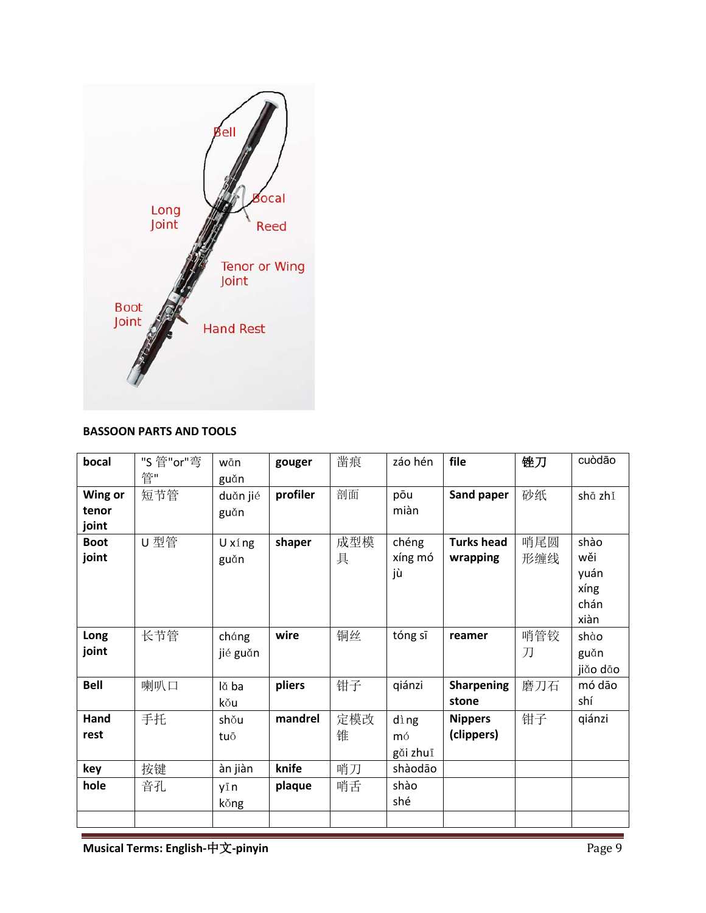

### **BASSOON PARTS AND TOOLS**

| bocal       | "S 管"or"弯 | wān      | gouger   | 凿痕  | záo hén  | file              | 锉刀  | cuòdão   |
|-------------|-----------|----------|----------|-----|----------|-------------------|-----|----------|
|             | 管"        | guǎn     |          |     |          |                   |     |          |
| Wing or     | 短节管       | duăn jié | profiler | 剖面  | pōu      | Sand paper        | 砂纸  | shā zhǐ  |
| tenor       |           | guǎn     |          |     | miàn     |                   |     |          |
| joint       |           |          |          |     |          |                   |     |          |
| <b>Boot</b> | U型管       | U xí ng  | shaper   | 成型模 | chéng    | <b>Turks head</b> | 哨尾圆 | shào     |
| joint       |           | guǎn     |          | 具   | xíng mó  | wrapping          | 形缠线 | wěi      |
|             |           |          |          |     | jù       |                   |     | yuán     |
|             |           |          |          |     |          |                   |     | xíng     |
|             |           |          |          |     |          |                   |     | chán     |
|             |           |          |          |     |          |                   |     | xiàn     |
| Long        | 长节管       | cháng    | wire     | 铜丝  | tóng sī  | reamer            | 哨管铰 | shào     |
| joint       |           | jié guǎn |          |     |          |                   | 刀   | guǎn     |
|             |           |          |          |     |          |                   |     | jiăo dāo |
| <b>Bell</b> | 喇叭口       | lă ba    | pliers   | 钳子  | qiánzi   | <b>Sharpening</b> | 磨刀石 | mó dão   |
|             |           | kŏu      |          |     |          | stone             |     | shí      |
| Hand        | 手托        | shou     | mandrel  | 定模改 | dìng     | <b>Nippers</b>    | 钳子  | qiánzi   |
| rest        |           | tuō      |          | 锥   | mó       | (clippers)        |     |          |
|             |           |          |          |     | găi zhuī |                   |     |          |
| key         | 按键        | àn jiàn  | knife    | 哨刀  | shàodāo  |                   |     |          |
| hole        | 音孔        | yīn      | plaque   | 哨舌  | shào     |                   |     |          |
|             |           | kǒng     |          |     | shé      |                   |     |          |
|             |           |          |          |     |          |                   |     |          |